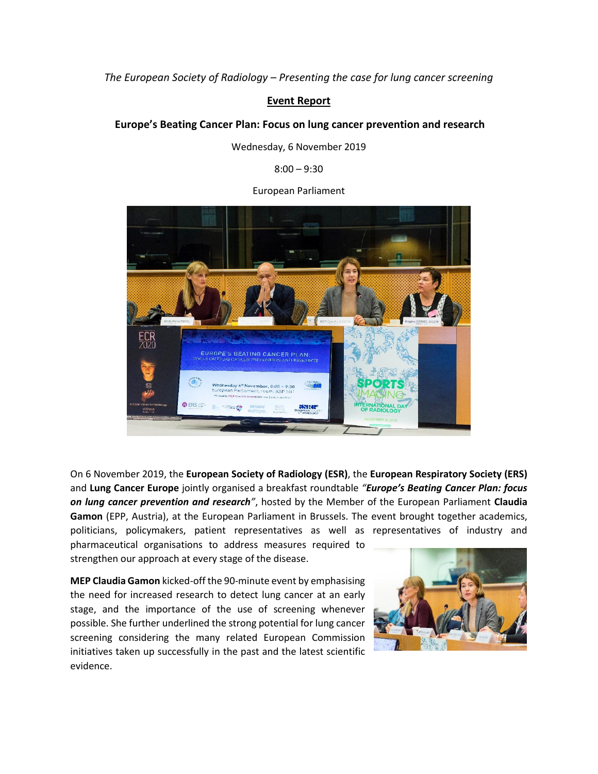*The European Society of Radiology – Presenting the case for lung cancer screening*

## **Event Report**

## **Europe's Beating Cancer Plan: Focus on lung cancer prevention and research**

Wednesday, 6 November 2019

 $8:00 - 9:30$ 

European Parliament



On 6 November 2019, the **European Society of Radiology (ESR)**, the **European Respiratory Society (ERS)** and **Lung Cancer Europe** jointly organised a breakfast roundtable *"Europe's Beating Cancer Plan: focus on lung cancer prevention and research"*, hosted by the Member of the European Parliament **Claudia Gamon** (EPP, Austria), at the European Parliament in Brussels. The event brought together academics, politicians, policymakers, patient representatives as well as representatives of industry and pharmaceutical organisations to address measures required to strengthen our approach at every stage of the disease.

**MEP Claudia Gamon** kicked-off the 90-minute event by emphasising the need for increased research to detect lung cancer at an early stage, and the importance of the use of screening whenever possible. She further underlined the strong potential for lung cancer screening considering the many related European Commission initiatives taken up successfully in the past and the latest scientific evidence.

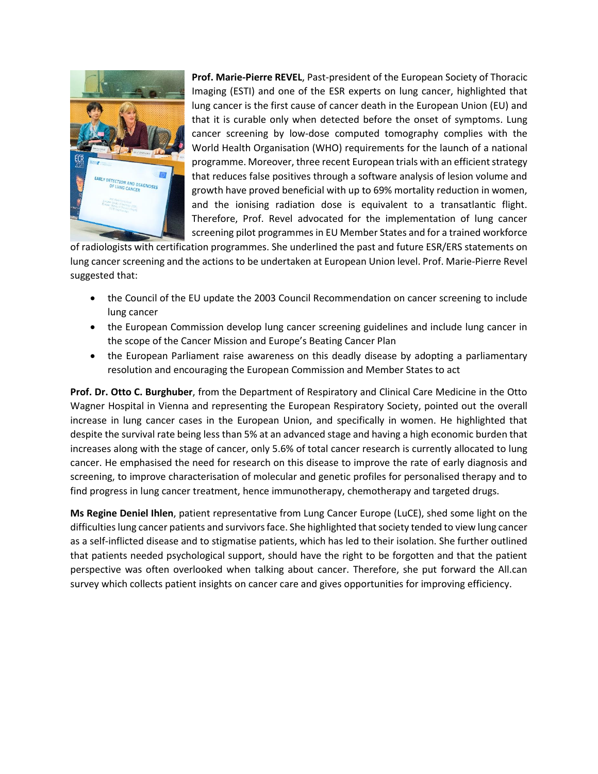

**Prof. Marie-Pierre REVEL**, Past-president of the European Society of Thoracic Imaging (ESTI) and one of the ESR experts on lung cancer, highlighted that lung cancer is the first cause of cancer death in the European Union (EU) and that it is curable only when detected before the onset of symptoms. Lung cancer screening by low-dose computed tomography complies with the World Health Organisation (WHO) requirements for the launch of a national programme. Moreover, three recent European trials with an efficient strategy that reduces false positives through a software analysis of lesion volume and growth have proved beneficial with up to 69% mortality reduction in women, and the ionising radiation dose is equivalent to a transatlantic flight. Therefore, Prof. Revel advocated for the implementation of lung cancer screening pilot programmes in EU Member States and for a trained workforce

of radiologists with certification programmes. She underlined the past and future ESR/ERS statements on lung cancer screening and the actions to be undertaken at European Union level. Prof. Marie-Pierre Revel suggested that:

- the Council of the EU update the 2003 Council Recommendation on cancer screening to include lung cancer
- the European Commission develop lung cancer screening guidelines and include lung cancer in the scope of the Cancer Mission and Europe's Beating Cancer Plan
- the European Parliament raise awareness on this deadly disease by adopting a parliamentary resolution and encouraging the European Commission and Member States to act

**Prof. Dr. Otto C. Burghuber**, from the Department of Respiratory and Clinical Care Medicine in the Otto Wagner Hospital in Vienna and representing the European Respiratory Society, pointed out the overall increase in lung cancer cases in the European Union, and specifically in women. He highlighted that despite the survival rate being less than 5% at an advanced stage and having a high economic burden that increases along with the stage of cancer, only 5.6% of total cancer research is currently allocated to lung cancer. He emphasised the need for research on this disease to improve the rate of early diagnosis and screening, to improve characterisation of molecular and genetic profiles for personalised therapy and to find progress in lung cancer treatment, hence immunotherapy, chemotherapy and targeted drugs.

**Ms Regine Deniel Ihlen**, patient representative from Lung Cancer Europe (LuCE), shed some light on the difficulties lung cancer patients and survivors face. She highlighted that society tended to view lung cancer as a self-inflicted disease and to stigmatise patients, which has led to their isolation. She further outlined that patients needed psychological support, should have the right to be forgotten and that the patient perspective was often overlooked when talking about cancer. Therefore, she put forward the All.can survey which collects patient insights on cancer care and gives opportunities for improving efficiency.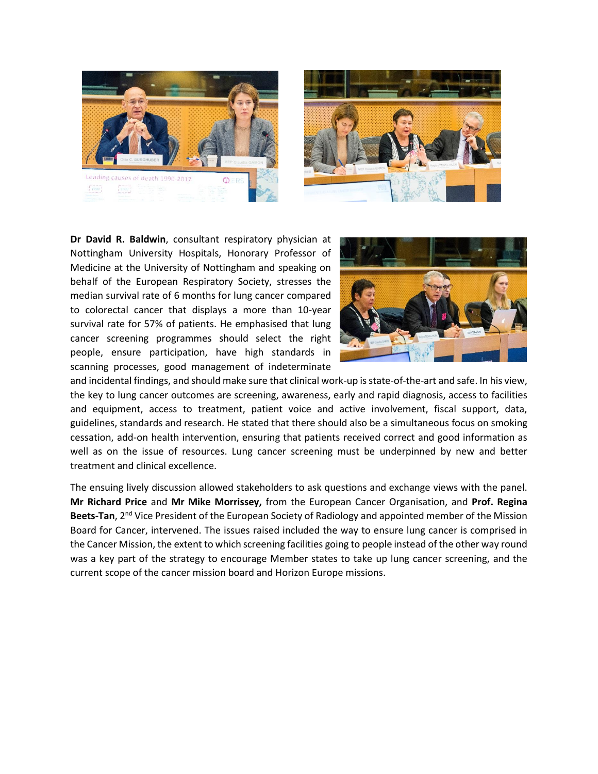



**Dr David R. Baldwin**, consultant respiratory physician at Nottingham University Hospitals, Honorary Professor of Medicine at the University of Nottingham and speaking on behalf of the European Respiratory Society, stresses the median survival rate of 6 months for lung cancer compared to colorectal cancer that displays a more than 10-year survival rate for 57% of patients. He emphasised that lung cancer screening programmes should select the right people, ensure participation, have high standards in scanning processes, good management of indeterminate



and incidental findings, and should make sure that clinical work-up is state-of-the-art and safe. In his view, the key to lung cancer outcomes are screening, awareness, early and rapid diagnosis, access to facilities and equipment, access to treatment, patient voice and active involvement, fiscal support, data, guidelines, standards and research. He stated that there should also be a simultaneous focus on smoking cessation, add-on health intervention, ensuring that patients received correct and good information as well as on the issue of resources. Lung cancer screening must be underpinned by new and better treatment and clinical excellence.

The ensuing lively discussion allowed stakeholders to ask questions and exchange views with the panel. **Mr Richard Price** and **Mr Mike Morrissey,** from the European Cancer Organisation, and **Prof. Regina Beets-Tan**, 2<sup>nd</sup> Vice President of the European Society of Radiology and appointed member of the Mission Board for Cancer, intervened. The issues raised included the way to ensure lung cancer is comprised in the Cancer Mission, the extent to which screening facilities going to people instead of the other way round was a key part of the strategy to encourage Member states to take up lung cancer screening, and the current scope of the cancer mission board and Horizon Europe missions.